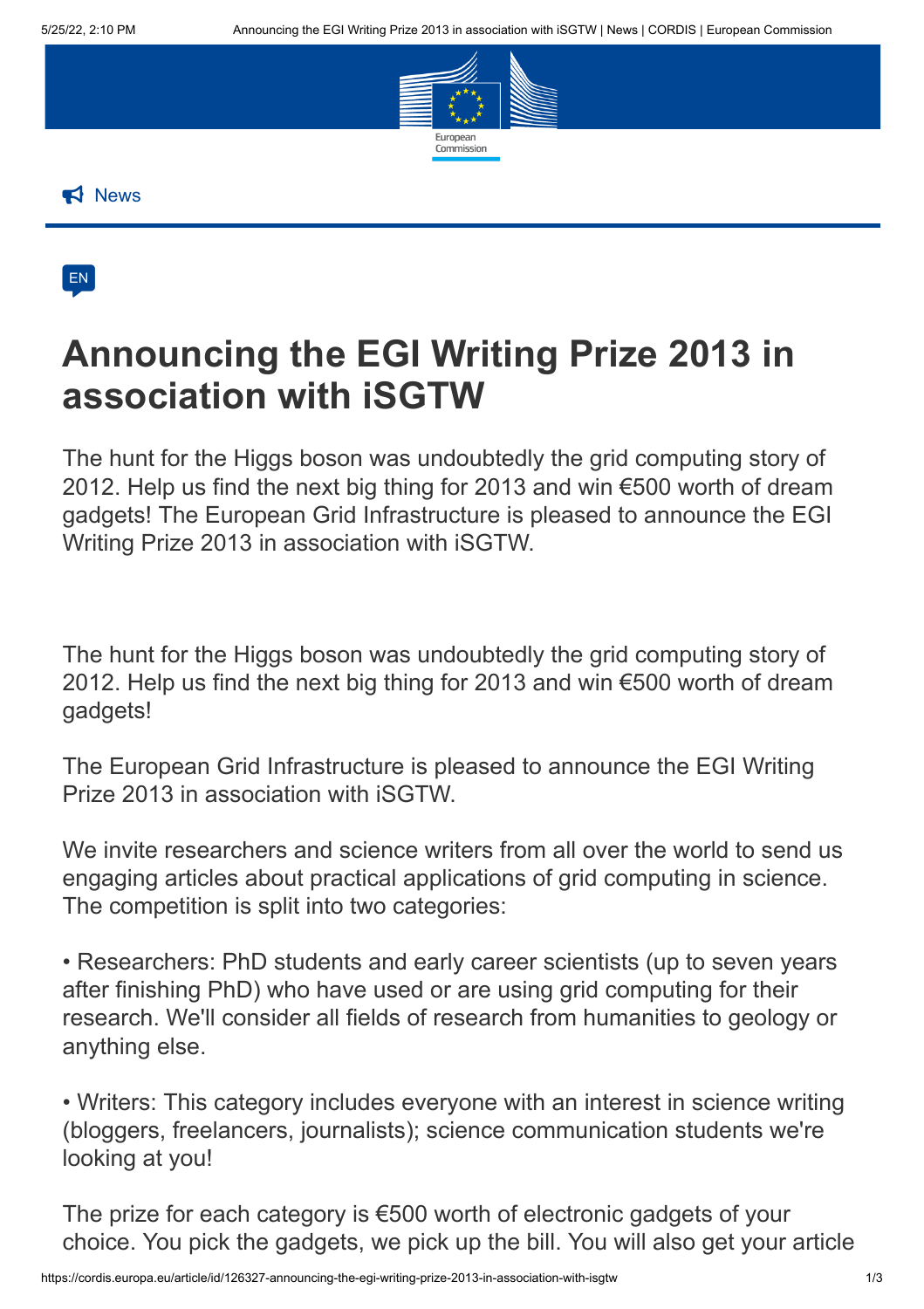

**News** 



## **Announcing the EGI Writing Prize 2013 in association with iSGTW**

The hunt for the Higgs boson was undoubtedly the grid computing story of 2012. Help us find the next big thing for 2013 and win €500 worth of dream gadgets! The European Grid Infrastructure is pleased to announce the EGI Writing Prize 2013 in association with iSGTW.

The hunt for the Higgs boson was undoubtedly the grid computing story of 2012. Help us find the next big thing for 2013 and win €500 worth of dream gadgets!

The European Grid Infrastructure is pleased to announce the EGI Writing Prize 2013 in association with iSGTW.

We invite researchers and science writers from all over the world to send us engaging articles about practical applications of grid computing in science. The competition is split into two categories:

• Researchers: PhD students and early career scientists (up to seven years after finishing PhD) who have used or are using grid computing for their research. We'll consider all fields of research from humanities to geology or anything else.

• Writers: This category includes everyone with an interest in science writing (bloggers, freelancers, journalists); science communication students we're looking at you!

The prize for each category is €500 worth of electronic gadgets of your choice. You pick the gadgets, we pick up the bill. You will also get your article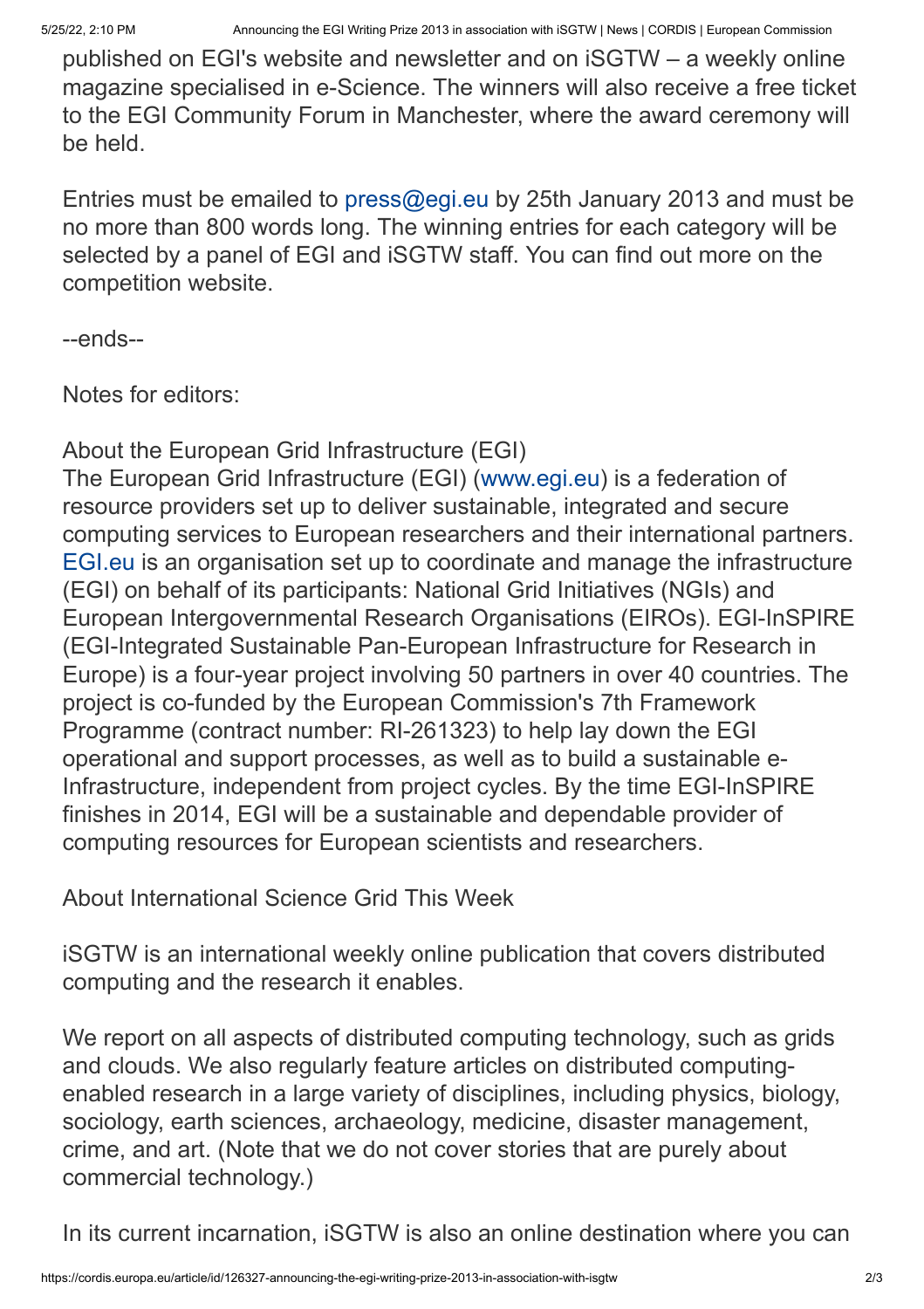published on EGI's website and newsletter and on iSGTW – a weekly online magazine specialised in e-Science. The winners will also receive a free ticket to the EGI Community Forum in Manchester, where the award ceremony will be held.

Entries must be emailed to [press@egi.eu](mailto:press@egi.eu) by 25th January 2013 and must be no more than 800 words long. The winning entries for each category will be selected by a panel of EGI and iSGTW staff. You can find out more on the competition website.

--ends--

Notes for editors:

About the European Grid Infrastructure (EGI)

The European Grid Infrastructure (EGI) ([www.egi.eu](http://www.egi.eu/)) is a federation of resource providers set up to deliver sustainable, integrated and secure computing services to European researchers and their international partners. [EGI.eu](http://egi.eu/) is an organisation set up to coordinate and manage the infrastructure (EGI) on behalf of its participants: National Grid Initiatives (NGIs) and European Intergovernmental Research Organisations (EIROs). EGI-InSPIRE (EGI-Integrated Sustainable Pan-European Infrastructure for Research in Europe) is a four-year project involving 50 partners in over 40 countries. The project is co-funded by the European Commission's 7th Framework Programme (contract number: RI-261323) to help lay down the EGI operational and support processes, as well as to build a sustainable e-Infrastructure, independent from project cycles. By the time EGI-InSPIRE finishes in 2014, EGI will be a sustainable and dependable provider of computing resources for European scientists and researchers.

About International Science Grid This Week

iSGTW is an international weekly online publication that covers distributed computing and the research it enables.

We report on all aspects of distributed computing technology, such as grids and clouds. We also regularly feature articles on distributed computingenabled research in a large variety of disciplines, including physics, biology, sociology, earth sciences, archaeology, medicine, disaster management, crime, and art. (Note that we do not cover stories that are purely about commercial technology.)

In its current incarnation, iSGTW is also an online destination where you can